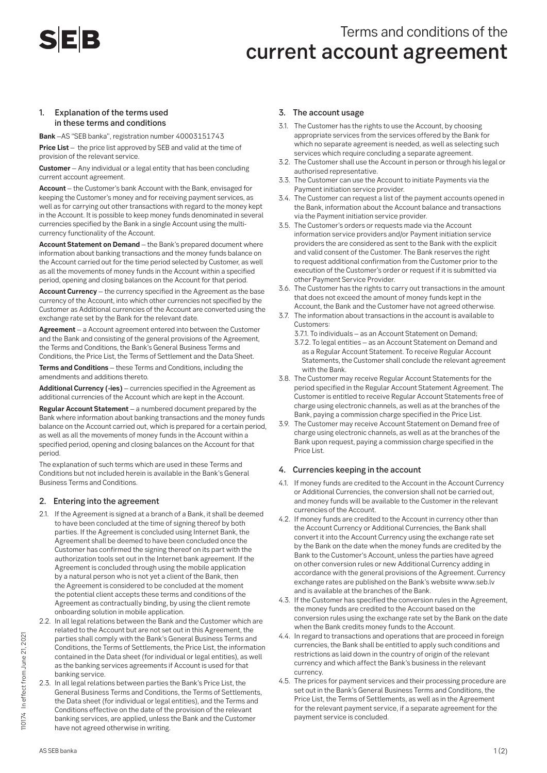# **SEB**

# Terms and conditions of the current account agreement

#### 1. Explanation of the terms used in these terms and conditions

**Bank** –AS "SEB banka", registration number 40003151743 **Price List** – the price list approved by SEB and valid at the time of provision of the relevant service.

**Customer** – Any individual or a legal entity that has been concluding current account agreement.

**Account** – the Customer's bank Account with the Bank, envisaged for keeping the Customer's money and for receiving payment services, as well as for carrying out other transactions with regard to the money kept in the Account. It is possible to keep money funds denominated in several currencies specified by the Bank in a single Account using the multicurrency functionality of the Account.

**Account Statement on Demand** – the Bank's prepared document where information about banking transactions and the money funds balance on the Account carried out for the time period selected by Customer, as well as all the movements of money funds in the Account within a specified period, opening and closing balances on the Account for that period.

**Account Currency** – the currency specified in the Agreement as the base currency of the Account, into which other currencies not specified by the Customer as Additional currencies of the Account are converted using the exchange rate set by the Bank for the relevant date.

**Agreement** – a Account agreement entered into between the Customer and the Bank and consisting of the general provisions of the Agreement, the Terms and Conditions, the Bank's General Business Terms and Conditions, the Price List, the Terms of Settlement and the Data Sheet.

**Terms and Conditions** – these Terms and Conditions, including the amendments and additions thereto.

**Additional Currency (-ies)** – currencies specified in the Agreement as additional currencies of the Account which are kept in the Account.

**Regular Account Statement** – a numbered document prepared by the Bank where information about banking transactions and the money funds balance on the Account carried out, which is prepared for a certain period, as well as all the movements of money funds in the Account within a specified period, opening and closing balances on the Account for that period.

The explanation of such terms which are used in these Terms and Conditions but not included herein is available in the Bank's General Business Terms and Conditions.

## 2. Entering into the agreement

- 2.1. If the Agreement is signed at a branch of a Bank, it shall be deemed to have been concluded at the time of signing thereof by both parties. If the Agreement is concluded using Internet Bank, the Agreement shall be deemed to have been concluded once the Customer has confirmed the signing thereof on its part with the authorization tools set out in the Internet bank agreement. If the Agreement is concluded through using the mobile application by a natural person who is not yet a client of the Bank, then the Agreement is considered to be concluded at the moment the potential client accepts these terms and conditions of the Agreement as contractually binding, by using the client remote onboarding solution in mobile application.
- 2.2. In all legal relations between the Bank and the Customer which are related to the Account but are not set out in this Agreement, the parties shall comply with the Bank's General Business Terms and Conditions, the Terms of Settlements, the Price List, the information contained in the Data sheet (for individual or legal entities), as well as the banking services agreements if Account is used for that banking service.
- 2.3. In all legal relations between parties the Bank's Price List, the General Business Terms and Conditions, the Terms of Settlements, the Data sheet (for individual or legal entities), and the Terms and Conditions effective on the date of the provision of the relevant banking services, are applied, unless the Bank and the Customer have not agreed otherwise in writing.

#### 3. The account usage

- 3.1. The Customer has the rights to use the Account, by choosing appropriate services from the services offered by the Bank for which no separate agreement is needed, as well as selecting such services which require concluding a separate agreement.
- 3.2. The Customer shall use the Account in person or through his legal or authorised representative.
- 3.3. The Customer can use the Account to initiate Payments via the Payment initiation service provider.
- 3.4. The Customer can request a list of the payment accounts opened in the Bank, information about the Account balance and transactions via the Payment initiation service provider.
- 3.5. The Customer's orders or requests made via the Account information service providers and/or Payment initiation service providers the are considered as sent to the Bank with the explicit and valid consent of the Customer. The Bank reserves the right to request additional confirmation from the Customer prior to the execution of the Customer's order or request if it is submitted via other Payment Service Provider.
- 3.6. The Customer has the rights to carry out transactions in the amount that does not exceed the amount of money funds kept in the Account, the Bank and the Customer have not agreed otherwise.
- 3.7. The information about transactions in the account is available to Customers:
	- 3.7.1. To individuals as an Account Statement on Demand; 3.7.2. To legal entities – as an Account Statement on Demand and as a Regular Account Statement. To receive Regular Account Statements, the Customer shall conclude the relevant agreement with the Bank.
- 3.8. The Customer may receive Regular Account Statements for the period specified in the Regular Account Statement Agreement. The Customer is entitled to receive Regular Account Statements free of charge using electronic channels, as well as at the branches of the Bank, paying a commission charge specified in the Price List.
- 3.9. The Customer may receive Account Statement on Demand free of charge using electronic channels, as well as at the branches of the Bank upon request, paying a commission charge specified in the Price List.

#### 4. Currencies keeping in the account

- 4.1. If money funds are credited to the Account in the Account Currency or Additional Currencies, the conversion shall not be carried out, and money funds will be available to the Customer in the relevant currencies of the Account.
- 4.2. If money funds are credited to the Account in currency other than the Account Currency or Additional Currencies, the Bank shall convert it into the Account Currency using the exchange rate set by the Bank on the date when the money funds are credited by the Bank to the Customer's Account, unless the parties have agreed on other conversion rules or new Additional Currency adding in accordance with the general provisions of the Agreement. Currency exchange rates are published on the Bank's website www.seb.lv and is available at the branches of the Bank.
- 4.3. If the Customer has specified the conversion rules in the Agreement, the money funds are credited to the Account based on the conversion rules using the exchange rate set by the Bank on the date when the Bank credits money funds to the Account.
- 4.4. In regard to transactions and operations that are proceed in foreign currencies, the Bank shall be entitled to apply such conditions and restrictions as laid down in the country of origin of the relevant currency and which affect the Bank's business in the relevant currency.
- 4.5. The prices for payment services and their processing procedure are set out in the Bank's General Business Terms and Conditions, the Price List, the Terms of Settlements, as well as in the Agreement for the relevant payment service, if a separate agreement for the payment service is concluded.